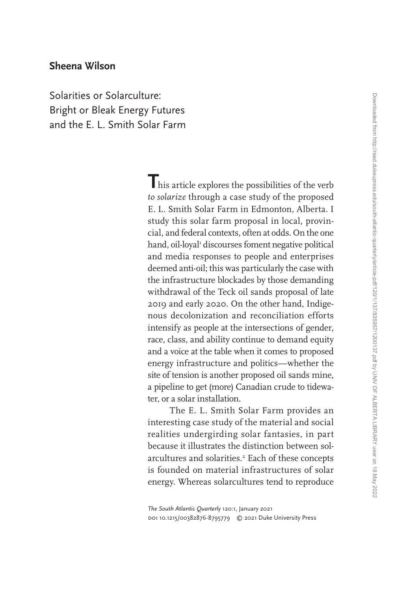Solarities or Solarculture: Bright or Bleak Energy Futures and the E. L. Smith Solar Farm

> **T**his article explores the possibilities of the verb *to solarize* through a case study of the proposed E. L. Smith Solar Farm in Edmonton, Alberta. I study this solar farm proposal in local, provincial, and federal contexts, often at odds. On the one hand, oil-loyal<sup>1</sup> discourses foment negative political and media responses to people and enterprises deemed anti-oil; this was particularly the case with the infrastructure blockades by those demanding withdrawal of the Teck oil sands proposal of late 2019 and early 2020. On the other hand, Indigenous decolonization and reconciliation efforts intensify as people at the intersections of gender, race, class, and ability continue to demand equity and a voice at the table when it comes to proposed energy infrastructure and politics—whether the site of tension is another proposed oil sands mine, a pipeline to get (more) Canadian crude to tidewater, or a solar installation.

> The E. L. Smith Solar Farm provides an interesting case study of the material and social realities undergirding solar fantasies, in part because it illustrates the distinction between solarcultures and solarities.<sup>2</sup> Each of these concepts is founded on material infrastructures of solar energy. Whereas solarcultures tend to reproduce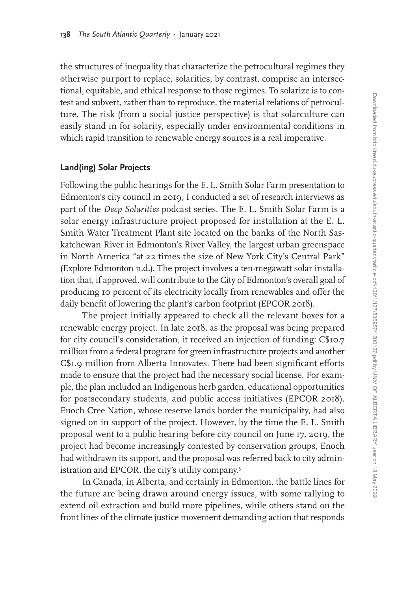the structures of inequality that characterize the petrocultural regimes they otherwise purport to replace, solarities, by contrast, comprise an intersectional, equitable, and ethical response to those regimes. To solarize is to contest and subvert, rather than to reproduce, the material relations of petroculture. The risk (from a social justice perspective) is that solarculture can easily stand in for solarity, especially under environmental conditions in which rapid transition to renewable energy sources is a real imperative.

# **Land(ing) Solar Projects**

Following the public hearings for the E. L. Smith Solar Farm presentation to Edmonton's city council in 2019, I conducted a set of research interviews as part of the *Deep Solarities* podcast series. The E. L. Smith Solar Farm is a solar energy infrastructure project proposed for installation at the E. L. Smith Water Treatment Plant site located on the banks of the North Saskatchewan River in Edmonton's River Valley, the largest urban greenspace in North America "at 22 times the size of New York City's Central Park" (Explore Edmonton n.d.). The project involves a ten-megawatt solar installation that, if approved, will contribute to the City of Edmonton's overall goal of producing 10 percent of its electricity locally from renewables and offer the daily benefit of lowering the plant's carbon footprint (EPCOR 2018).

The project initially appeared to check all the relevant boxes for a renewable energy project. In late 2018, as the proposal was being prepared for city council's consideration, it received an injection of funding: C\$10.7 million from a federal program for green infrastructure projects and another C\$1.9 million from Alberta Innovates. There had been significant efforts made to ensure that the project had the necessary social license. For example, the plan included an Indigenous herb garden, educational opportunities for postsecondary students, and public access initiatives (EPCOR 2018). Enoch Cree Nation, whose reserve lands border the municipality, had also signed on in support of the project. However, by the time the E. L. Smith proposal went to a public hearing before city council on June 17, 2019, the project had become increasingly contested by conservation groups, Enoch had withdrawn its support, and the proposal was referred back to city administration and EPCOR, the city's utility company.3

In Canada, in Alberta, and certainly in Edmonton, the battle lines for the future are being drawn around energy issues, with some rallying to extend oil extraction and build more pipelines, while others stand on the front lines of the climate justice movement demanding action that responds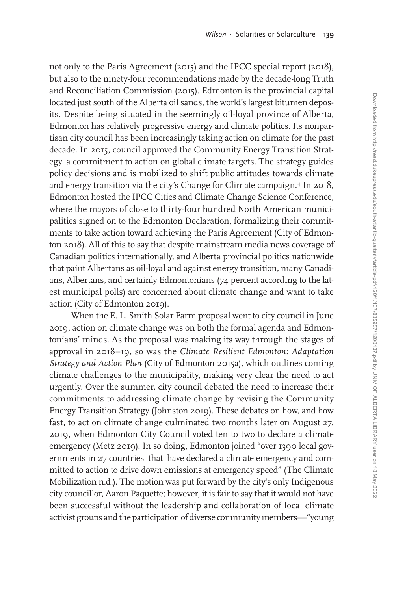not only to the Paris Agreement (2015) and the IPCC special report (2018), but also to the ninety-four recommendations made by the decade-long Truth and Reconciliation Commission (2015). Edmonton is the provincial capital located just south of the Alberta oil sands, the world's largest bitumen deposits. Despite being situated in the seemingly oil-loyal province of Alberta, Edmonton has relatively progressive energy and climate politics. Its nonpartisan city council has been increasingly taking action on climate for the past decade. In 2015, council approved the Community Energy Transition Strategy, a commitment to action on global climate targets. The strategy guides policy decisions and is mobilized to shift public attitudes towards climate and energy transition via the city's Change for Climate campaign.4 In 2018, Edmonton hosted the IPCC Cities and Climate Change Science Conference, where the mayors of close to thirty-four hundred North American municipalities signed on to the Edmonton Declaration, formalizing their commitments to take action toward achieving the Paris Agreement (City of Edmonton 2018). All of this to say that despite mainstream media news coverage of Canadian politics internationally, and Alberta provincial politics nationwide that paint Albertans as oil-loyal and against energy transition, many Canadians, Albertans, and certainly Edmontonians (74 percent according to the latest municipal polls) are concerned about climate change and want to take action (City of Edmonton 2019).

When the E. L. Smith Solar Farm proposal went to city council in June 2019, action on climate change was on both the formal agenda and Edmontonians' minds. As the proposal was making its way through the stages of approval in 2018–19, so was the *Climate Resilient Edmonton: Adaptation Strategy and Action Plan* (City of Edmonton 2015a), which outlines coming climate challenges to the municipality, making very clear the need to act urgently. Over the summer, city council debated the need to increase their commitments to addressing climate change by revising the Community Energy Transition Strategy (Johnston 2019). These debates on how, and how fast, to act on climate change culminated two months later on August 27, 2019, when Edmonton City Council voted ten to two to declare a climate emergency (Metz 2019). In so doing, Edmonton joined "over 1390 local governments in 27 countries [that] have declared a climate emergency and committed to action to drive down emissions at emergency speed" (The Climate Mobilization n.d.). The motion was put forward by the city's only Indigenous city councillor, Aaron Paquette; however, it is fair to say that it would not have been successful without the leadership and collaboration of local climate activist groups and the participation of diverse community members—"young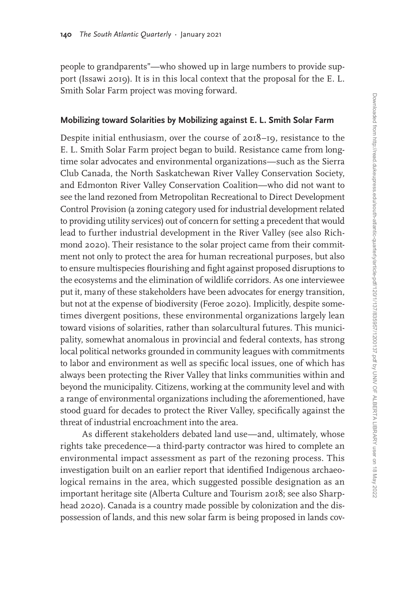people to grandparents"—who showed up in large numbers to provide support (Issawi 2019). It is in this local context that the proposal for the E. L. Smith Solar Farm project was moving forward.

### **Mobilizing toward Solarities by Mobilizing against E. L. Smith Solar Farm**

Despite initial enthusiasm, over the course of 2018–19, resistance to the E. L. Smith Solar Farm project began to build. Resistance came from longtime solar advocates and environmental organizations—such as the Sierra Club Canada, the North Saskatchewan River Valley Conservation Society, and Edmonton River Valley Conservation Coalition—who did not want to see the land rezoned from Metropolitan Recreational to Direct Development Control Provision (a zoning category used for industrial development related to providing utility services) out of concern for setting a precedent that would lead to further industrial development in the River Valley (see also Richmond 2020). Their resistance to the solar project came from their commitment not only to protect the area for human recreational purposes, but also to ensure multispecies flourishing and fight against proposed disruptions to the ecosystems and the elimination of wildlife corridors. As one interviewee put it, many of these stakeholders have been advocates for energy transition, but not at the expense of biodiversity (Feroe 2020). Implicitly, despite sometimes divergent positions, these environmental organizations largely lean toward visions of solarities, rather than solarcultural futures. This municipality, somewhat anomalous in provincial and federal contexts, has strong local political networks grounded in community leagues with commitments to labor and environment as well as specific local issues, one of which has always been protecting the River Valley that links communities within and beyond the municipality. Citizens, working at the community level and with a range of environmental organizations including the aforementioned, have stood guard for decades to protect the River Valley, specifically against the threat of industrial encroachment into the area.

As different stakeholders debated land use—and, ultimately, whose rights take precedence—a third-party contractor was hired to complete an environmental impact assessment as part of the rezoning process. This investigation built on an earlier report that identified Indigenous archaeological remains in the area, which suggested possible designation as an important heritage site (Alberta Culture and Tourism 2018; see also Sharphead 2020). Canada is a country made possible by colonization and the dispossession of lands, and this new solar farm is being proposed in lands cov-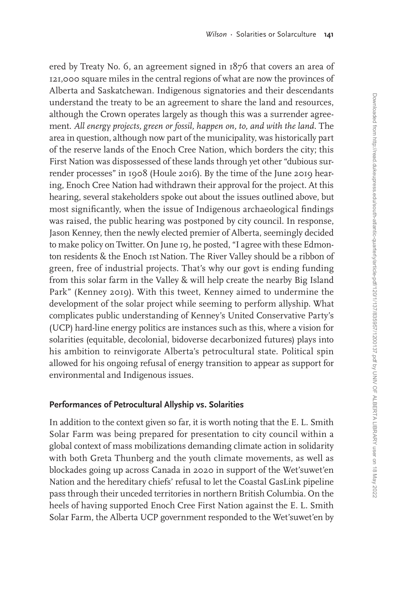ered by Treaty No. 6, an agreement signed in 1876 that covers an area of 121,000 square miles in the central regions of what are now the provinces of Alberta and Saskatchewan. Indigenous signatories and their descendants understand the treaty to be an agreement to share the land and resources, although the Crown operates largely as though this was a surrender agreement. *All energy projects, green or fossil, happen on, to, and with the land*. The area in question, although now part of the municipality, was historically part of the reserve lands of the Enoch Cree Nation, which borders the city; this First Nation was dispossessed of these lands through yet other "dubious surrender processes" in 1908 (Houle 2016). By the time of the June 2019 hearing, Enoch Cree Nation had withdrawn their approval for the project. At this hearing, several stakeholders spoke out about the issues outlined above, but most significantly, when the issue of Indigenous archaeological findings was raised, the public hearing was postponed by city council. In response, Jason Kenney, then the newly elected premier of Alberta, seemingly decided to make policy on Twitter. On June 19, he posted, "I agree with these Edmonton residents & the Enoch 1st Nation. The River Valley should be a ribbon of green, free of industrial projects. That's why our govt is ending funding from this solar farm in the Valley & will help create the nearby Big Island Park" (Kenney 2019). With this tweet, Kenney aimed to undermine the development of the solar project while seeming to perform allyship. What complicates public understanding of Kenney's United Conservative Party's (UCP) hard-line energy politics are instances such as this, where a vision for solarities (equitable, decolonial, bidoverse decarbonized futures) plays into his ambition to reinvigorate Alberta's petrocultural state. Political spin allowed for his ongoing refusal of energy transition to appear as support for environmental and Indigenous issues.

## **Performances of Petrocultural Allyship vs. Solarities**

In addition to the context given so far, it is worth noting that the E. L. Smith Solar Farm was being prepared for presentation to city council within a global context of mass mobilizations demanding climate action in solidarity with both Greta Thunberg and the youth climate movements, as well as blockades going up across Canada in 2020 in support of the Wet'suwet'en Nation and the hereditary chiefs' refusal to let the Coastal GasLink pipeline pass through their unceded territories in northern British Columbia. On the heels of having supported Enoch Cree First Nation against the E. L. Smith Solar Farm, the Alberta UCP government responded to the Wet'suwet'en by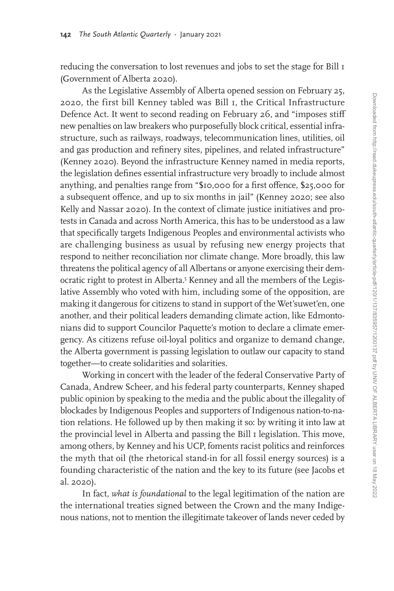reducing the conversation to lost revenues and jobs to set the stage for Bill 1 (Government of Alberta 2020).

As the Legislative Assembly of Alberta opened session on February 25, 2020, the first bill Kenney tabled was Bill 1, the Critical Infrastructure Defence Act. It went to second reading on February 26, and "imposes stiff new penalties on law breakers who purposefully block critical, essential infrastructure, such as railways, roadways, telecommunication lines, utilities, oil and gas production and refinery sites, pipelines, and related infrastructure" (Kenney 2020). Beyond the infrastructure Kenney named in media reports, the legislation defines essential infrastructure very broadly to include almost anything, and penalties range from "\$10,000 for a first offence, \$25,000 for a subsequent offence, and up to six months in jail" (Kenney 2020; see also Kelly and Nassar 2020). In the context of climate justice initiatives and protests in Canada and across North America, this has to be understood as a law that specifically targets Indigenous Peoples and environmental activists who are challenging business as usual by refusing new energy projects that respond to neither reconciliation nor climate change. More broadly, this law threatens the political agency of all Albertans or anyone exercising their democratic right to protest in Alberta.<sup>5</sup> Kenney and all the members of the Legislative Assembly who voted with him, including some of the opposition, are making it dangerous for citizens to stand in support of the Wet'suwet'en, one another, and their political leaders demanding climate action, like Edmontonians did to support Councilor Paquette's motion to declare a climate emergency. As citizens refuse oil-loyal politics and organize to demand change, the Alberta government is passing legislation to outlaw our capacity to stand together—to create solidarities and solarities.

Working in concert with the leader of the federal Conservative Party of Canada, Andrew Scheer, and his federal party counterparts, Kenney shaped public opinion by speaking to the media and the public about the illegality of blockades by Indigenous Peoples and supporters of Indigenous nation-to-nation relations. He followed up by then making it so: by writing it into law at the provincial level in Alberta and passing the Bill 1 legislation. This move, among others, by Kenney and his UCP, foments racist politics and reinforces the myth that oil (the rhetorical stand-in for all fossil energy sources) is a founding characteristic of the nation and the key to its future (see Jacobs et al. 2020).

In fact, *what is foundational* to the legal legitimation of the nation are the international treaties signed between the Crown and the many Indigenous nations, not to mention the illegitimate takeover of lands never ceded by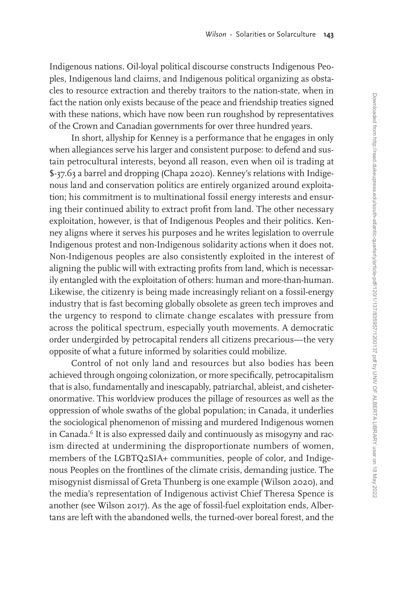Indigenous nations. Oil-loyal political discourse constructs Indigenous Peoples, Indigenous land claims, and Indigenous political organizing as obstacles to resource extraction and thereby traitors to the nation-state, when in fact the nation only exists because of the peace and friendship treaties signed with these nations, which have now been run roughshod by representatives of the Crown and Canadian governments for over three hundred years.

In short, allyship for Kenney is a performance that he engages in only when allegiances serve his larger and consistent purpose: to defend and sustain petrocultural interests, beyond all reason, even when oil is trading at \$-37.63 a barrel and dropping (Chapa 2020). Kenney's relations with Indigenous land and conservation politics are entirely organized around exploitation; his commitment is to multinational fossil energy interests and ensuring their continued ability to extract profit from land. The other necessary exploitation, however, is that of Indigenous Peoples and their politics. Kenney aligns where it serves his purposes and he writes legislation to overrule Indigenous protest and non-Indigenous solidarity actions when it does not. Non-Indigenous peoples are also consistently exploited in the interest of aligning the public will with extracting profits from land, which is necessarily entangled with the exploitation of others: human and more-than-human. Likewise, the citizenry is being made increasingly reliant on a fossil-energy industry that is fast becoming globally obsolete as green tech improves and the urgency to respond to climate change escalates with pressure from across the political spectrum, especially youth movements. A democratic order undergirded by petrocapital renders all citizens precarious—the very opposite of what a future informed by solarities could mobilize.

Control of not only land and resources but also bodies has been achieved through ongoing colonization, or more specifically, petrocapitalism that is also, fundamentally and inescapably, patriarchal, ableist, and cisheteronormative. This worldview produces the pillage of resources as well as the oppression of whole swaths of the global population; in Canada, it underlies the sociological phenomenon of missing and murdered Indigenous women in Canada.<sup>6</sup> It is also expressed daily and continuously as misogyny and racism directed at undermining the disproportionate numbers of women, members of the LGBTQ2SIA+ communities, people of color, and Indigenous Peoples on the frontlines of the climate crisis, demanding justice. The misogynist dismissal of Greta Thunberg is one example (Wilson 2020), and the media's representation of Indigenous activist Chief Theresa Spence is another (see Wilson 2017). As the age of fossil-fuel exploitation ends, Albertans are left with the abandoned wells, the turned-over boreal forest, and the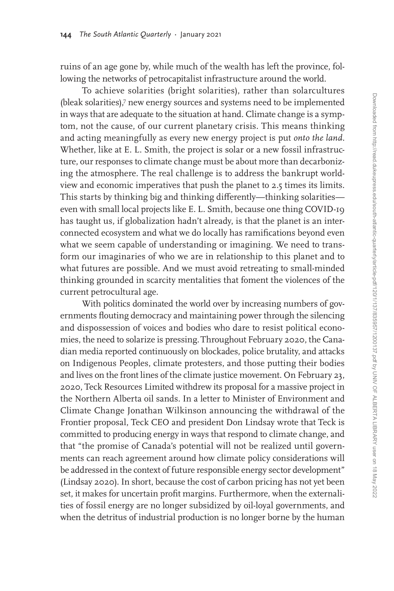ruins of an age gone by, while much of the wealth has left the province, following the networks of petrocapitalist infrastructure around the world.

To achieve solarities (bright solarities), rather than solarcultures (bleak solarities),<sup>7</sup> new energy sources and systems need to be implemented in ways that are adequate to the situation at hand. Climate change is a symptom, not the cause, of our current planetary crisis. This means thinking and acting meaningfully as every new energy project is put *onto the land.*  Whether, like at E. L. Smith, the project is solar or a new fossil infrastructure, our responses to climate change must be about more than decarbonizing the atmosphere. The real challenge is to address the bankrupt worldview and economic imperatives that push the planet to 2.5 times its limits. This starts by thinking big and thinking differently—thinking solarities even with small local projects like E. L. Smith, because one thing COVID-19 has taught us, if globalization hadn't already, is that the planet is an interconnected ecosystem and what we do locally has ramifications beyond even what we seem capable of understanding or imagining. We need to transform our imaginaries of who we are in relationship to this planet and to what futures are possible. And we must avoid retreating to small-minded thinking grounded in scarcity mentalities that foment the violences of the current petrocultural age.

With politics dominated the world over by increasing numbers of governments flouting democracy and maintaining power through the silencing and dispossession of voices and bodies who dare to resist political economies, the need to solarize is pressing.Throughout February 2020, the Canadian media reported continuously on blockades, police brutality, and attacks on Indigenous Peoples, climate protesters, and those putting their bodies and lives on the front lines of the climate justice movement. On February 23, 2020, Teck Resources Limited withdrew its proposal for a massive project in the Northern Alberta oil sands. In a letter to Minister of Environment and Climate Change Jonathan Wilkinson announcing the withdrawal of the Frontier proposal, Teck CEO and president Don Lindsay wrote that Teck is committed to producing energy in ways that respond to climate change, and that "the promise of Canada's potential will not be realized until governments can reach agreement around how climate policy considerations will be addressed in the context of future responsible energy sector development" (Lindsay 2020). In short, because the cost of carbon pricing has not yet been set, it makes for uncertain profit margins. Furthermore, when the externalities of fossil energy are no longer subsidized by oil-loyal governments, and when the detritus of industrial production is no longer borne by the human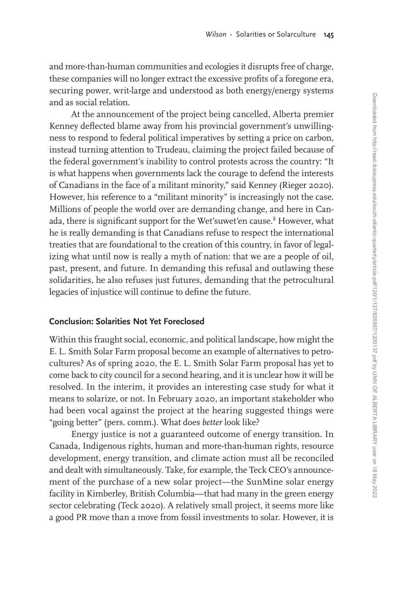and more-than-human communities and ecologies it disrupts free of charge, these companies will no longer extract the excessive profits of a foregone era, securing power, writ-large and understood as both energy/energy systems and as social relation.

At the announcement of the project being cancelled, Alberta premier Kenney deflected blame away from his provincial government's unwillingness to respond to federal political imperatives by setting a price on carbon, instead turning attention to Trudeau, claiming the project failed because of the federal government's inability to control protests across the country: "It is what happens when governments lack the courage to defend the interests of Canadians in the face of a militant minority," said Kenney (Rieger 2020). However, his reference to a "militant minority" is increasingly not the case. Millions of people the world over are demanding change, and here in Canada, there is significant support for the Wet'suwet'en cause.<sup>8</sup> However, what he is really demanding is that Canadians refuse to respect the international treaties that are foundational to the creation of this country, in favor of legalizing what until now is really a myth of nation: that we are a people of oil, past, present, and future. In demanding this refusal and outlawing these solidarities, he also refuses just futures, demanding that the petrocultural legacies of injustice will continue to define the future.

### **Conclusion: Solarities Not Yet Foreclosed**

Within this fraught social, economic, and political landscape, how might the E. L. Smith Solar Farm proposal become an example of alternatives to petrocultures? As of spring 2020, the E. L. Smith Solar Farm proposal has yet to come back to city council for a second hearing, and it is unclear how it will be resolved. In the interim, it provides an interesting case study for what it means to solarize, or not. In February 2020, an important stakeholder who had been vocal against the project at the hearing suggested things were "going better" (pers. comm.). What does *better* look like?

Energy justice is not a guaranteed outcome of energy transition. In Canada, Indigenous rights, human and more-than-human rights, resource development, energy transition, and climate action must all be reconciled and dealt with simultaneously. Take, for example, the Teck CEO's announcement of the purchase of a new solar project—the SunMine solar energy facility in Kimberley, British Columbia—that had many in the green energy sector celebrating (Teck 2020). A relatively small project, it seems more like a good PR move than a move from fossil investments to solar. However, it is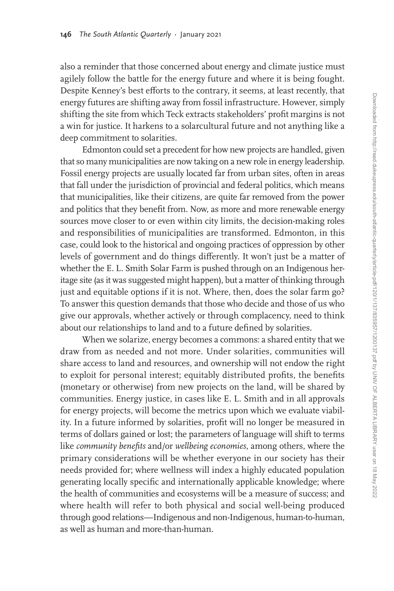also a reminder that those concerned about energy and climate justice must agilely follow the battle for the energy future and where it is being fought. Despite Kenney's best efforts to the contrary, it seems, at least recently, that energy futures are shifting away from fossil infrastructure. However, simply shifting the site from which Teck extracts stakeholders' profit margins is not a win for justice. It harkens to a solarcultural future and not anything like a deep commitment to solarities.

Edmonton could set a precedent for how new projects are handled, given that so many municipalities are now taking on a new role in energy leadership. Fossil energy projects are usually located far from urban sites, often in areas that fall under the jurisdiction of provincial and federal politics, which means that municipalities, like their citizens, are quite far removed from the power and politics that they benefit from. Now, as more and more renewable energy sources move closer to or even within city limits, the decision-making roles and responsibilities of municipalities are transformed. Edmonton, in this case, could look to the historical and ongoing practices of oppression by other levels of government and do things differently. It won't just be a matter of whether the E. L. Smith Solar Farm is pushed through on an Indigenous heritage site (as it was suggested might happen), but a matter of thinking through just and equitable options if it is not. Where, then, does the solar farm go? To answer this question demands that those who decide and those of us who give our approvals, whether actively or through complacency, need to think about our relationships to land and to a future defined by solarities.

When we solarize, energy becomes a commons: a shared entity that we draw from as needed and not more. Under solarities, communities will share access to land and resources, and ownership will not endow the right to exploit for personal interest; equitably distributed profits, the benefits (monetary or otherwise) from new projects on the land, will be shared by communities. Energy justice, in cases like E. L. Smith and in all approvals for energy projects, will become the metrics upon which we evaluate viability. In a future informed by solarities, profit will no longer be measured in terms of dollars gained or lost; the parameters of language will shift to terms like *community benefits* and/or *wellbeing economies*, among others, where the primary considerations will be whether everyone in our society has their needs provided for; where wellness will index a highly educated population generating locally specific and internationally applicable knowledge; where the health of communities and ecosystems will be a measure of success; and where health will refer to both physical and social well-being produced through good relations—Indigenous and non-Indigenous, human-to-human, as well as human and more-than-human.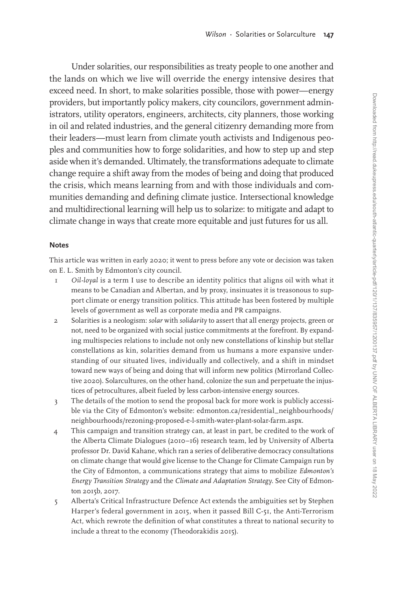Under solarities, our responsibilities as treaty people to one another and the lands on which we live will override the energy intensive desires that exceed need. In short, to make solarities possible, those with power—energy providers, but importantly policy makers, city councilors, government administrators, utility operators, engineers, architects, city planners, those working in oil and related industries, and the general citizenry demanding more from their leaders—must learn from climate youth activists and Indigenous peoples and communities how to forge solidarities, and how to step up and step aside when it's demanded. Ultimately, the transformations adequate to climate change require a shift away from the modes of being and doing that produced the crisis, which means learning from and with those individuals and communities demanding and defining climate justice. Intersectional knowledge and multidirectional learning will help us to solarize: to mitigate and adapt to climate change in ways that create more equitable and just futures for us all.

#### **Notes**

This article was written in early 2020; it went to press before any vote or decision was taken on E. L. Smith by Edmonton's city council.

- 1 *Oil-loyal* is a term I use to describe an identity politics that aligns oil with what it means to be Canadian and Albertan, and by proxy, insinuates it is treasonous to support climate or energy transition politics. This attitude has been fostered by multiple levels of government as well as corporate media and PR campaigns.
- 2 Solarities is a neologism: *solar* with *solidarity* to assert that all energy projects, green or not, need to be organized with social justice commitments at the forefront. By expanding multispecies relations to include not only new constellations of kinship but stellar constellations as kin, solarities demand from us humans a more expansive understanding of our situated lives, individually and collectively, and a shift in mindset toward new ways of being and doing that will inform new politics (Mirrorland Collective 2020). Solarcultures, on the other hand, colonize the sun and perpetuate the injustices of petrocultures, albeit fueled by less carbon-intensive energy sources.
- 3 The details of the motion to send the proposal back for more work is publicly accessible via the City of Edmonton's website: edmonton.ca/residential\_neighbourhoods/ neighbourhoods/rezoning-proposed-e-l-smith-water-plant-solar-farm.aspx.
- 4 This campaign and transition strategy can, at least in part, be credited to the work of the Alberta Climate Dialogues (2010–16) research team, led by University of Alberta professor Dr. David Kahane, which ran a series of deliberative democracy consultations on climate change that would give license to the Change for Climate Campaign run by the City of Edmonton, a communications strategy that aims to mobilize *Edmonton's Energy Transition Strategy* and the *Climate and Adaptation Strategy*. See City of Edmonton 2015b, 2017.
- 5 Alberta's Critical Infrastructure Defence Act extends the ambiguities set by Stephen Harper's federal government in 2015, when it passed Bill C-51, the Anti-Terrorism Act, which rewrote the definition of what constitutes a threat to national security to include a threat to the economy (Theodorakidis 2015).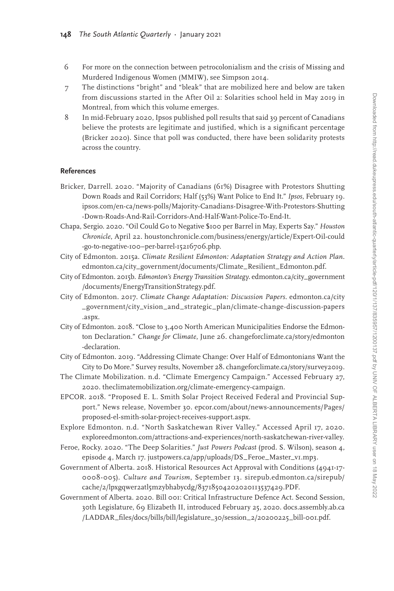- 6 For more on the connection between petrocolonialism and the crisis of Missing and Murdered Indigenous Women (MMIW), see Simpson 2014.
- 7 The distinctions "bright" and "bleak" that are mobilized here and below are taken from discussions started in the After Oil 2: Solarities school held in May 2019 in Montreal, from which this volume emerges.
- 8 In mid-February 2020, Ipsos published poll results that said 39 percent of Canadians believe the protests are legitimate and justified, which is a significant percentage (Bricker 2020). Since that poll was conducted, there have been solidarity protests across the country.

#### **References**

- Bricker, Darrell. 2020. "Majority of Canadians (61%) Disagree with Protestors Shutting Down Roads and Rail Corridors; Half (53%) Want Police to End It." *Ipsos*, February 19. ipsos.com/en-ca/news-polls/Majority-Canadians-Disagree-With-Protestors-Shutting -Down-Roads-And-Rail-Corridors-And-Half-Want-Police-To-End-It.
- Chapa, Sergio. 2020. "Oil Could Go to Negative \$100 per Barrel in May, Experts Say." *Houston Chronicle*, April 22. houstonchronicle.com/business/energy/article/Expert-Oil-could -go-to-negative-100–per-barrel-15216706.php.
- City of Edmonton. 2015a. *Climate Resilient Edmonton: Adaptation Strategy and Action Plan*. edmonton.ca/city\_government/documents/Climate\_Resilient\_Edmonton.pdf.
- City of Edmonton. 2015b. *Edmonton's Energy Transition Strategy.* edmonton.ca/city\_government /documents/EnergyTransitionStrategy.pdf.
- City of Edmonton. 2017. *Climate Change Adaptation: Discussion Papers*. edmonton.ca/city \_government/city\_vision\_and\_strategic\_plan/climate-change-discussion-papers .aspx.
- City of Edmonton. 2018. "Close to 3,400 North American Municipalities Endorse the Edmonton Declaration." *Change for Climate*, June 26. changeforclimate.ca/story/edmonton -declaration.
- City of Edmonton. 2019. "Addressing Climate Change: Over Half of Edmontonians Want the City to Do More." Survey results, November 28. changeforclimate.ca/story/survey2019.
- The Climate Mobilization. n.d. "Climate Emergency Campaign." Accessed February 27, 2020. theclimatemobilization.org/climate-emergency-campaign.
- EPCOR. 2018. "Proposed E. L. Smith Solar Project Received Federal and Provincial Support." News release, November 30. epcor.com/about/news-announcements/Pages/ proposed-el-smith-solar-project-receives-support.aspx.

Explore Edmonton. n.d. "North Saskatchewan River Valley." Accessed April 17, 2020. exploreedmonton.com/attractions-and-experiences/north-saskatchewan-river-valley.

Feroe, Rocky. 2020. "The Deep Solarities." *Just Powers Podcast* (prod. S. Wilson), season 4, episode 4, March 17. justpowers.ca/app/uploads/DS\_Feroe\_Master\_v1.mp3.

Government of Alberta. 2018. Historical Resources Act Approval with Conditions (4941-17- 0008-005). *Culture and Tourism*, September 13. sirepub.edmonton.ca/sirepub/ cache/2/lpxgqwer2atl5mzybhabycdg/83718504202020113537429.PDF.

Government of Alberta. 2020. Bill 001: Critical Infrastructure Defence Act. Second Session, 30th Legislature, 69 Elizabeth II, introduced February 25, 2020. docs.assembly.ab.ca /LADDAR\_files/docs/bills/bill/legislature\_30/session\_2/20200225\_bill-001.pdf.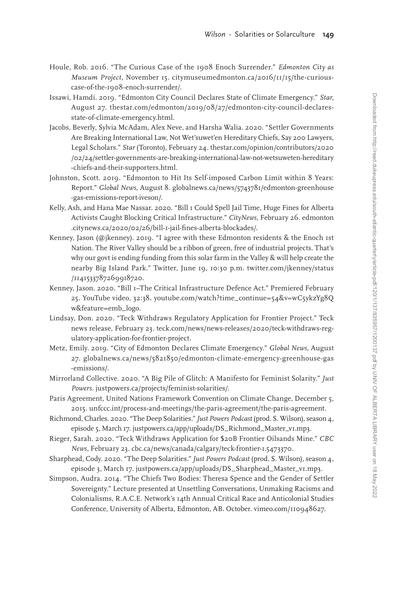- Houle, Rob. 2016. "The Curious Case of the 1908 Enoch Surrender." *Edmonton City as Museum Project*, November 15. citymuseumedmonton.ca/2016/11/15/the-curiouscase-of-the-1908-enoch-surrender/.
- Issawi, Hamdi. 2019. "Edmonton City Council Declares State of Climate Emergency." *Star*, August 27. thestar.com/edmonton/2019/08/27/edmonton-city-council-declaresstate-of-climate-emergency.html.
- Jacobs, Beverly, Sylvia McAdam, Alex Neve, and Harsha Walia. 2020. "Settler Governments Are Breaking International Law, Not Wet'suwet'en Hereditary Chiefs, Say 200 Lawyers, Legal Scholars." *Star* (Toronto), February 24. thestar.com/opinion/contributors/2020 /02/24/settler-governments-are-breaking-international-law-not-wetsuweten-hereditary -chiefs-and-their-supporters.html.
- Johnston, Scott. 2019. "Edmonton to Hit Its Self-imposed Carbon Limit within 8 Years: Report." *Global News*, August 8. globalnews.ca/news/5743781/edmonton-greenhouse -gas-emissions-report-iveson/.
- Kelly, Ash, and Hana Mae Nassar. 2020. "Bill 1 Could Spell Jail Time, Huge Fines for Alberta Activists Caught Blocking Critical Infrastructure." *CityNews*, February 26. edmonton .citynews.ca/2020/02/26/bill-1-jail-fines-alberta-blockades/.
- Kenney, Jason (@jkenney). 2019. "I agree with these Edmonton residents & the Enoch 1st Nation. The River Valley should be a ribbon of green, free of industrial projects. That's why our govt is ending funding from this solar farm in the Valley & will help create the nearby Big Island Park." Twitter, June 19, 10:30 p.m. twitter.com/jkenney/status /1141533787269918720.
- Kenney, Jason. 2020. "Bill 1–The Critical Infrastructure Defence Act." Premiered February 25. YouTube video, 32:38**.** youtube.com/watch?time\_continue=54&v=wC5ykzYg8Q w&feature=emb\_logo.
- Lindsay, Don. 2020. "Teck Withdraws Regulatory Application for Frontier Project." Teck news release, February 23. teck.com/news/news-releases/2020/teck-withdraws-regulatory-application-for-frontier-project.
- Metz, Emily. 2019. "City of Edmonton Declares Climate Emergency." *Global News*, August 27. globalnews.ca/news/5821850/edmonton-climate-emergency-greenhouse-gas -emissions/.
- Mirrorland Collective. 2020. "A Big Pile of Glitch: A Manifesto for Feminist Solarity." *Just Powers*. justpowers.ca/projects/feminist-solarities/.
- Paris Agreement, United Nations Framework Convention on Climate Change, December 5, 2015. unfccc.int/process-and-meetings/the-paris-agreement/the-paris-agreement.
- Richmond, Charles. 2020. "The Deep Solarities." *Just Powers Podcast* (prod. S. Wilson), season 4, episode 5, March 17. justpowers.ca/app/uploads/DS\_Richmond\_Master\_v1.mp3.
- Rieger, Sarah. 2020. "Teck Withdraws Application for \$20B Frontier Oilsands Mine." *CBC News*, February 23. cbc.ca/news/canada/calgary/teck-frontier-1.5473370.
- Sharphead, Cody. 2020. "The Deep Solarities." *Just Powers Podcast* (prod. S. Wilson), season 4, episode 3, March 17. justpowers.ca/app/uploads/DS\_Sharphead\_Master\_v1.mp3.
- Simpson, Audra. 2014. "The Chiefs Two Bodies: Theresa Spence and the Gender of Settler Sovereignty." Lecture presented at Unsettling Conversations, Unmaking Racisms and Colonialisms, R.A.C.E. Network's 14th Annual Critical Race and Anticolonial Studies Conference, University of Alberta, Edmonton, AB. October. vimeo.com/110948627.